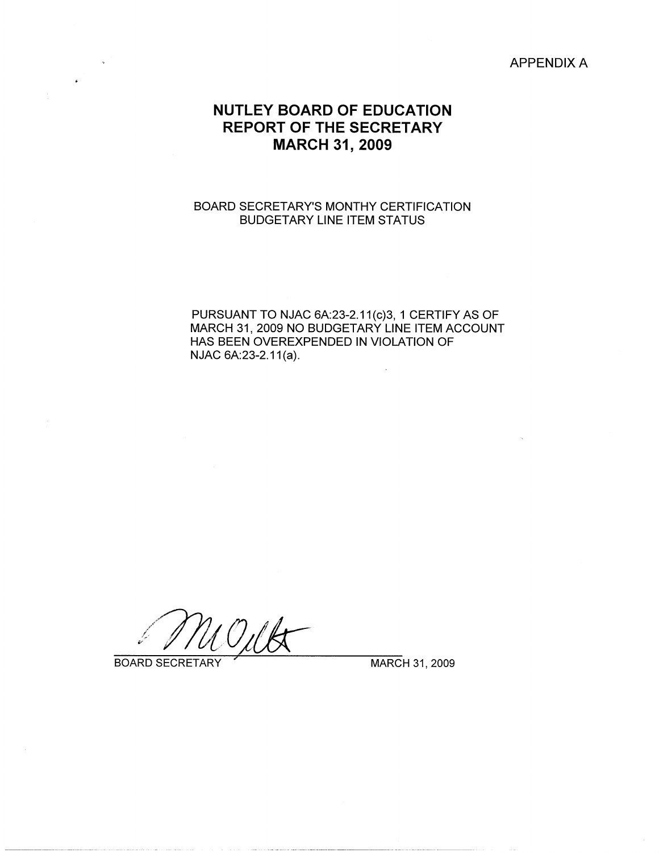APPENDIX A

## **NUTLEY BOARD OF EDUCATION REPORT OF THE SECRETARY MARCH 31, 2009**

## BOARD SECRETARY'S MONTHY CERTIFICATION BUDGETARY LINE ITEM STATUS

PURSUANT TO NJAC 6A:23-2.11(c)3, 1 CERTIFY AS OF MARCH 31, 2009 NO BUDGETARY LINE ITEM ACCOUNT HAS BEEN OVEREXPENDED IN VIOLATION OF  $NJAC 6A:23-2.11(a)$ .

BOARD SECRETARY **WARCH 31, 2009**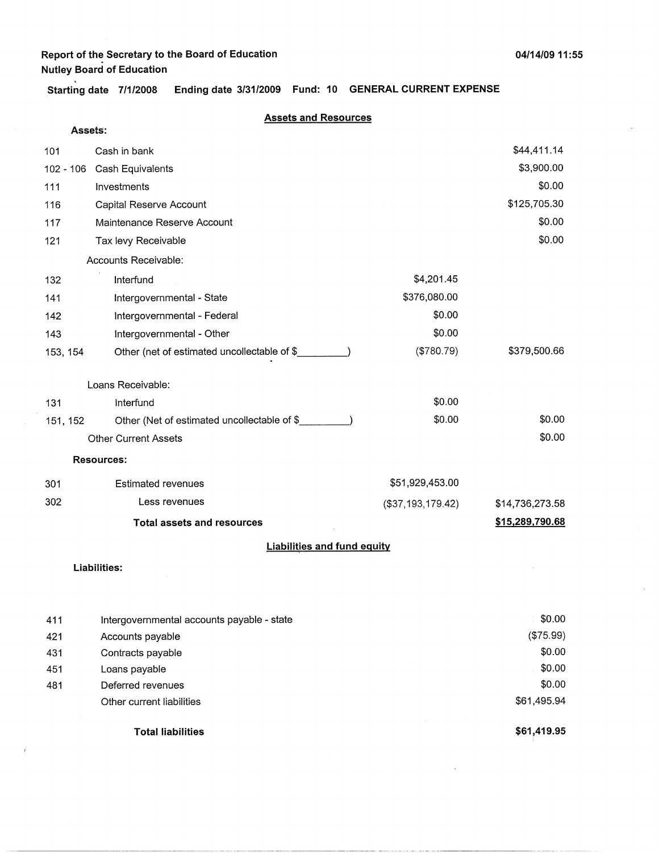$\int$ 

**Starting date 7/1/2008 Ending date 3/31/2009 Fund: 10 GENERAL CURRENT EXPENSE** 

#### **Assets and Resources**

| Assets:    |                                                                |                   |                 |
|------------|----------------------------------------------------------------|-------------------|-----------------|
| 101        | Cash in bank                                                   |                   | \$44,411.14     |
|            | 102 - 106 Cash Equivalents                                     |                   | \$3,900.00      |
| 111        | Investments                                                    |                   | \$0.00          |
| 116        | Capital Reserve Account                                        |                   | \$125,705.30    |
| 117        | Maintenance Reserve Account                                    |                   | \$0.00          |
| 121        | Tax levy Receivable                                            |                   | \$0.00          |
|            | Accounts Receivable:                                           |                   |                 |
| 132        | Interfund                                                      | \$4,201.45        |                 |
| 141        | Intergovernmental - State                                      | \$376,080.00      |                 |
| 142        | Intergovernmental - Federal                                    | \$0.00            |                 |
| 143        | Intergovernmental - Other                                      | \$0.00            |                 |
| 153, 154   | Other (net of estimated uncollectable of \$                    | (\$780.79)        | \$379,500.66    |
|            |                                                                |                   |                 |
|            | Loans Receivable:                                              | \$0.00            |                 |
| 131        | Interfund                                                      |                   |                 |
| 151, 152   | Other (Net of estimated uncollectable of \$                    | \$0.00            | \$0.00          |
|            | <b>Other Current Assets</b>                                    |                   | \$0.00          |
|            | <b>Resources:</b>                                              |                   |                 |
| 301        | <b>Estimated revenues</b>                                      | \$51,929,453.00   |                 |
| 302        | Less revenues                                                  | (\$37,193,179.42) | \$14,736,273.58 |
|            | <b>Total assets and resources</b>                              |                   | \$15,289,790.68 |
|            | <b>Liabilities and fund equity</b>                             |                   |                 |
|            | Liabilities:                                                   |                   |                 |
|            |                                                                |                   |                 |
|            |                                                                |                   | \$0.00          |
| 411<br>421 | Intergovernmental accounts payable - state<br>Accounts payable |                   | (\$75.99)       |
| 431        | Contracts payable                                              |                   | \$0.00          |
| 451        | Loans payable                                                  |                   | \$0.00          |
| 481        | Deferred revenues                                              |                   | \$0.00          |
|            | Other current liabilities                                      |                   | \$61,495.94     |
|            |                                                                |                   |                 |

**Total liabilities** \$61,419.95

------·-·- --------·--------------~- ----------

 $\bar{1}$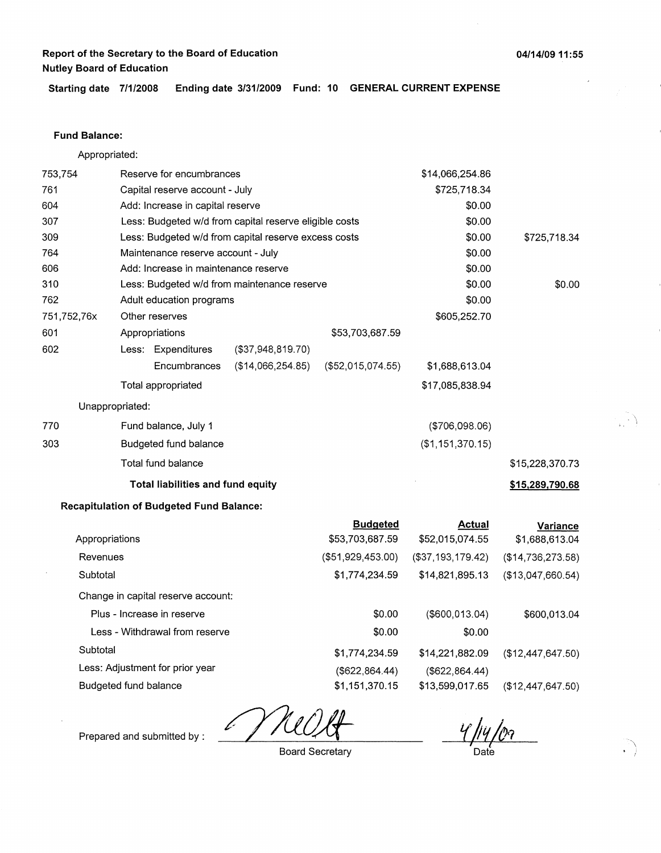**Starting date 7/1/2008 Ending date 3/31/2009 Fund: 10 GENERAL CURRENT EXPENSE** 

#### **Fund Balance:**

Appropriated:

| 753,754     |                       | Reserve for encumbrances                        |                                                        |                                    | \$14,066,254.86                  |                            |
|-------------|-----------------------|-------------------------------------------------|--------------------------------------------------------|------------------------------------|----------------------------------|----------------------------|
| 761         |                       | Capital reserve account - July                  |                                                        |                                    | \$725,718.34                     |                            |
| 604         |                       | Add: Increase in capital reserve                |                                                        |                                    | \$0.00                           |                            |
| 307         |                       |                                                 | Less: Budgeted w/d from capital reserve eligible costs |                                    | \$0.00                           |                            |
| 309         |                       |                                                 | Less: Budgeted w/d from capital reserve excess costs   |                                    | \$0.00                           | \$725,718.34               |
| 764         |                       | Maintenance reserve account - July              |                                                        |                                    | \$0.00                           |                            |
| 606         |                       | Add: Increase in maintenance reserve            |                                                        |                                    | \$0.00                           |                            |
| 310         |                       |                                                 | Less: Budgeted w/d from maintenance reserve            |                                    | \$0.00                           | \$0.00                     |
| 762         |                       | Adult education programs                        |                                                        |                                    | \$0.00                           |                            |
| 751,752,76x |                       | Other reserves                                  |                                                        |                                    | \$605,252.70                     |                            |
| 601         |                       | Appropriations                                  |                                                        | \$53,703,687.59                    |                                  |                            |
| 602         |                       | Less: Expenditures                              | (\$37,948,819.70)                                      |                                    |                                  |                            |
|             |                       | Encumbrances                                    | (\$14,066,254.85)                                      | (\$52,015,074.55)                  | \$1,688,613.04                   |                            |
|             |                       | Total appropriated                              |                                                        |                                    | \$17,085,838.94                  |                            |
|             | Unappropriated:       |                                                 |                                                        |                                    |                                  |                            |
| 770         |                       | Fund balance, July 1                            |                                                        |                                    | (\$706,098.06)                   |                            |
| 303         |                       | Budgeted fund balance                           |                                                        |                                    | (\$1,151,370.15)                 |                            |
|             |                       | Total fund balance                              |                                                        |                                    |                                  | \$15,228,370.73            |
|             |                       | Total liabilities and fund equity               |                                                        |                                    |                                  | \$15,289,790.68            |
|             |                       | <b>Recapitulation of Budgeted Fund Balance:</b> |                                                        |                                    |                                  |                            |
|             | Appropriations        |                                                 |                                                        | <b>Budgeted</b><br>\$53,703,687.59 | <b>Actual</b><br>\$52,015,074.55 | Variance<br>\$1,688,613.04 |
| Revenues    |                       |                                                 |                                                        | (\$51,929,453.00)                  | (\$37,193,179.42)                | (\$14,736,273.58)          |
| Subtotal    |                       |                                                 |                                                        | \$1,774,234.59                     | \$14,821,895.13                  | (\$13,047,660.54)          |
|             |                       | Change in capital reserve account:              |                                                        |                                    |                                  |                            |
|             |                       | Plus - Increase in reserve                      |                                                        | \$0.00                             | $($ \$600,013.04)                | \$600,013.04               |
|             |                       | Less - Withdrawal from reserve                  |                                                        | \$0.00                             | \$0.00                           |                            |
| Subtotal    |                       |                                                 |                                                        | \$1,774,234.59                     | \$14,221,882.09                  | (\$12,447,647.50)          |
|             |                       | Less: Adjustment for prior year                 |                                                        | (\$622, 864.44)                    | (\$622, 864.44)                  |                            |
|             | Budgeted fund balance |                                                 |                                                        | \$1,151,370.15                     | \$13,599,017.65                  | (\$12,447,647.50)          |

l:

Prepared and submitted by :

Board Secretary

Date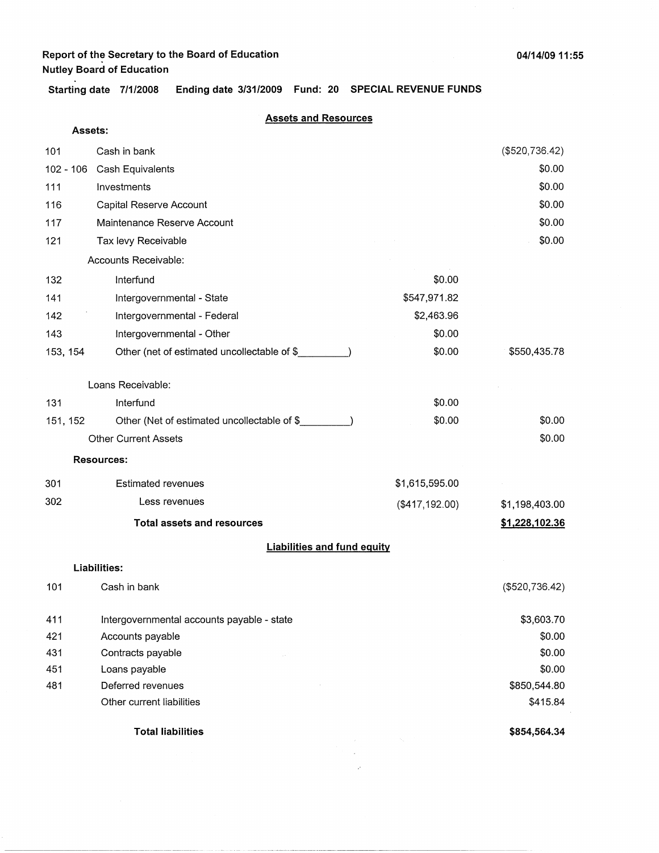**Starting date 7/1/2008 Ending date 3/31/2009 Fund: 20 SPECIAL REVENUE FUNDS** 

#### **Assets and Resources**

|          | Assets:                                     |                |                |
|----------|---------------------------------------------|----------------|----------------|
| 101      | Cash in bank                                |                | (\$520,736.42) |
|          | 102 - 106 Cash Equivalents                  |                | \$0.00         |
| 111      | Investments                                 |                | \$0.00         |
| 116      | Capital Reserve Account                     |                | \$0.00         |
| 117      | Maintenance Reserve Account                 |                | \$0.00         |
| 121      | Tax levy Receivable                         |                | \$0.00         |
|          | Accounts Receivable:                        |                |                |
| 132      | Interfund                                   | \$0.00         |                |
| 141      | Intergovernmental - State                   | \$547,971.82   |                |
| 142      | Intergovernmental - Federal                 | \$2,463.96     |                |
| 143      | Intergovernmental - Other                   | \$0.00         |                |
| 153, 154 | Other (net of estimated uncollectable of \$ | \$0.00         | \$550,435.78   |
|          | Loans Receivable:                           |                |                |
| 131      | Interfund                                   | \$0.00         |                |
| 151, 152 | Other (Net of estimated uncollectable of \$ | \$0.00         | \$0.00         |
|          | <b>Other Current Assets</b>                 |                | \$0.00         |
|          | <b>Resources:</b>                           |                |                |
| 301      | <b>Estimated revenues</b>                   | \$1,615,595.00 |                |
| 302      | Less revenues                               | (\$417,192.00) | \$1,198,403.00 |
|          | <b>Total assets and resources</b>           |                | \$1,228,102.36 |
|          | <b>Liabilities and fund equity</b>          |                |                |
|          | Liabilities:                                |                |                |
| 101      | Cash in bank                                |                | (\$520,736.42) |
| 411      | Intergovernmental accounts payable - state  |                | \$3,603.70     |
| 421      | Accounts payable                            |                | \$0.00         |
| 431      | Contracts payable                           |                | \$0.00         |
| 451      | Loans payable                               |                | \$0.00         |
| 481      | Deferred revenues                           |                | \$850,544.80   |
|          | Other current liabilities                   |                | \$415.84       |
|          | <b>Total liabilities</b>                    |                | \$854,564.34   |
|          |                                             |                |                |

 $\hat{\rho}$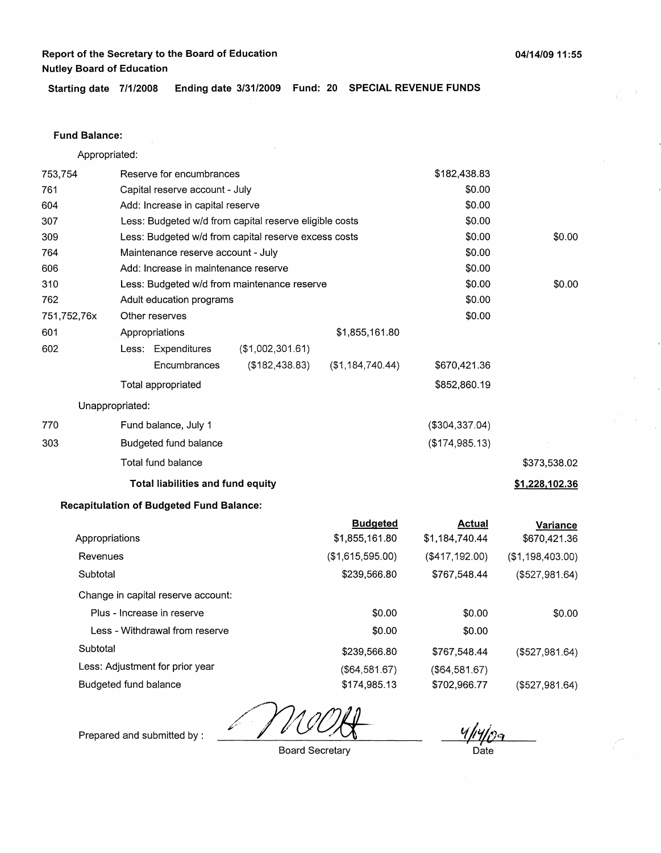**Starting date 7/1/2008 Ending date 3/31/2009 Fund: 20 SPECIAL REVENUE FUNDS** 

#### **Fund Balance:**

Appropriated:

| 753,754        | Reserve for encumbrances                        |                                                        |                  | \$182,438.83    |                  |
|----------------|-------------------------------------------------|--------------------------------------------------------|------------------|-----------------|------------------|
| 761            |                                                 | Capital reserve account - July                         |                  |                 |                  |
| 604            | Add: Increase in capital reserve                |                                                        |                  | \$0.00          |                  |
| 307            |                                                 | Less: Budgeted w/d from capital reserve eligible costs |                  | \$0.00          |                  |
| 309            |                                                 | Less: Budgeted w/d from capital reserve excess costs   |                  | \$0.00          | \$0.00           |
| 764            | Maintenance reserve account - July              |                                                        |                  | \$0.00          |                  |
| 606            | Add: Increase in maintenance reserve            |                                                        |                  | \$0.00          |                  |
| 310            |                                                 | Less: Budgeted w/d from maintenance reserve            |                  | \$0.00          | \$0.00           |
| 762            | Adult education programs                        |                                                        |                  | \$0.00          |                  |
| 751,752,76x    | Other reserves                                  |                                                        |                  | \$0.00          |                  |
| 601            | Appropriations                                  |                                                        | \$1,855,161.80   |                 |                  |
| 602            | Less: Expenditures                              | (\$1,002,301.61)                                       |                  |                 |                  |
|                | Encumbrances                                    | (\$182,438.83)                                         | (\$1,184,740.44) | \$670,421.36    |                  |
|                | Total appropriated                              |                                                        |                  | \$852,860.19    |                  |
|                | Unappropriated:                                 |                                                        |                  |                 |                  |
| 770            | Fund balance, July 1                            |                                                        |                  | (\$304,337.04)  |                  |
| 303            | Budgeted fund balance                           |                                                        |                  | (\$174,985.13)  |                  |
|                | Total fund balance                              |                                                        |                  |                 | \$373,538.02     |
|                | Total liabilities and fund equity               |                                                        |                  |                 | \$1,228,102.36   |
|                | <b>Recapitulation of Budgeted Fund Balance:</b> |                                                        |                  |                 |                  |
|                |                                                 |                                                        | <b>Budgeted</b>  | <b>Actual</b>   | Variance         |
| Appropriations |                                                 |                                                        | \$1,855,161.80   | \$1,184,740.44  | \$670,421.36     |
| Revenues       |                                                 |                                                        | (\$1,615,595.00) | (\$417,192.00)  | (\$1,198,403.00) |
| Subtotal       |                                                 |                                                        | \$239,566.80     | \$767,548.44    | (\$527,981.64)   |
|                | Change in capital reserve account:              |                                                        |                  |                 |                  |
|                | Plus - Increase in reserve                      |                                                        | \$0.00           | \$0.00          | \$0.00           |
|                | Less - Withdrawal from reserve                  |                                                        | \$0.00           | \$0.00          |                  |
| Subtotal       |                                                 |                                                        | \$239,566.80     | \$767,548.44    | (\$527,981.64)   |
|                | Less: Adjustment for prior year                 |                                                        | (\$64,581.67)    | ( \$64, 581.67) |                  |

Budgeted fund balance

(\$527,981.64)

Prepared and submitted by :

Board Secretary

\$174,985.13

**D**ate

\$702,966.77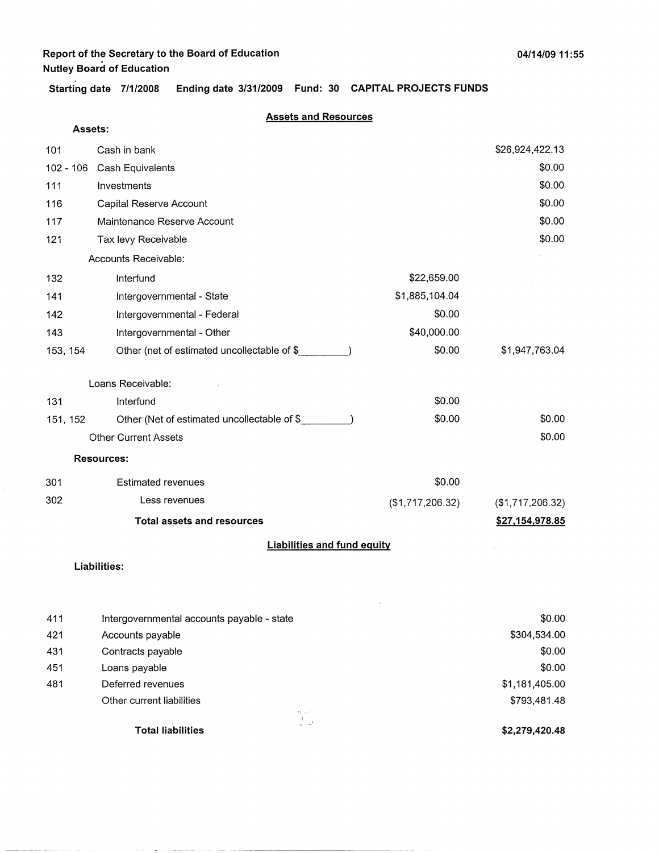**Assets:** 

**Starting date 7/1/2008 Ending date 3/31/2009 Fund: 30 CAPITAL PROJECTS FUNDS** 

#### **Assets and Resources**

| 101                 | Cash in bank                                |                  | \$26,924,422.13  |
|---------------------|---------------------------------------------|------------------|------------------|
| $102 - 106$         | Cash Equivalents                            |                  | \$0.00           |
| 111                 | Investments                                 |                  | \$0.00           |
| 116                 | Capital Reserve Account                     |                  | \$0.00           |
| 117                 | Maintenance Reserve Account                 |                  | \$0.00           |
| 121                 | Tax levy Receivable                         |                  | \$0.00           |
|                     | Accounts Receivable:                        |                  |                  |
| 132                 | Interfund                                   | \$22,659.00      |                  |
| 141                 | Intergovernmental - State                   | \$1,885,104.04   |                  |
| 142                 | Intergovernmental - Federal                 | \$0.00           |                  |
| 143                 | Intergovernmental - Other                   | \$40,000.00      |                  |
| 153, 154            | Other (net of estimated uncollectable of \$ | \$0.00           | \$1,947,763.04   |
|                     | Loans Receivable:                           |                  |                  |
| 131                 | Interfund                                   | \$0.00           |                  |
| 151, 152            | Other (Net of estimated uncollectable of \$ | \$0.00           | \$0.00           |
|                     | <b>Other Current Assets</b>                 |                  | \$0.00           |
|                     | <b>Resources:</b>                           |                  |                  |
| 301                 | <b>Estimated revenues</b>                   | \$0.00           |                  |
| 302                 | Less revenues                               | (\$1,717,206.32) | (\$1,717,206.32) |
|                     | <b>Total assets and resources</b>           |                  | \$27,154,978.85  |
|                     | <b>Liabilities and fund equity</b>          |                  |                  |
| $1.5 - 1.515 + 1.5$ |                                             |                  |                  |

#### **Liabilities:**

| 411 | Intergovernmental accounts payable - state | \$0.00         |
|-----|--------------------------------------------|----------------|
| 421 | Accounts payable                           | \$304,534.00   |
| 431 | Contracts payable                          | \$0.00         |
| 451 | Loans payable                              | \$0.00         |
| 481 | Deferred revenues                          | \$1,181,405.00 |
|     | Other current liabilities                  | \$793,481.48   |
|     | $\mathbb{M}\subset\mathbb{R}^{n\times n}$  |                |
|     | <b>Total liabilities</b>                   | \$2,279,420.48 |

 $\label{eq:3.1} \begin{array}{lllllllllllllllllll} \hline \textbf{a} & \textbf{a} & \textbf{a} & \textbf{a} & \textbf{a} & \textbf{a} & \textbf{a} & \textbf{a} & \textbf{a} & \textbf{a} & \textbf{a} & \textbf{a} & \textbf{a} & \textbf{a} & \textbf{a} & \textbf{a} \end{array}$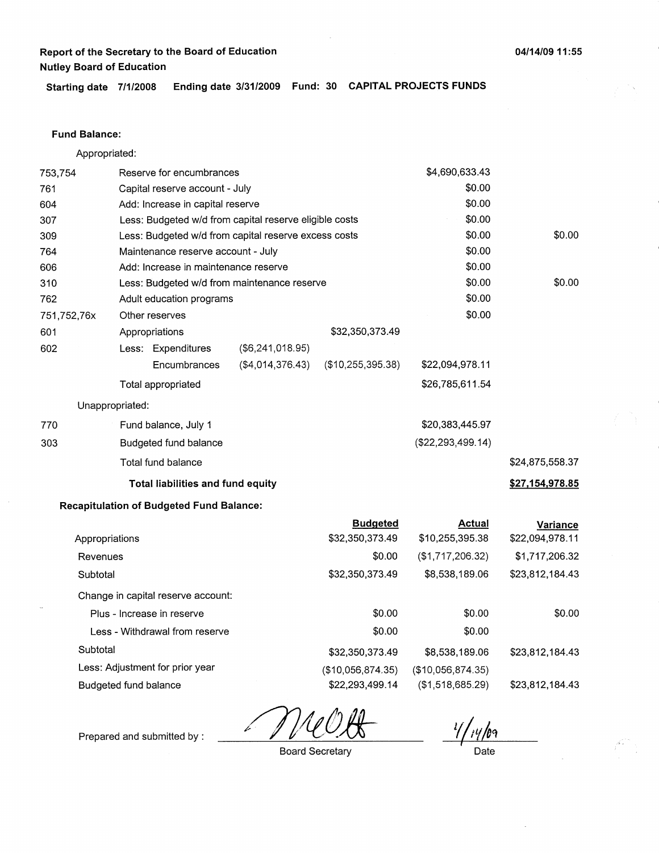#### **Fund Balance:**

Appropriated:

| 753,754     |                       | Reserve for encumbrances                        |                                                        |                   | \$4,690,633.43      |                 |
|-------------|-----------------------|-------------------------------------------------|--------------------------------------------------------|-------------------|---------------------|-----------------|
| 761         |                       | Capital reserve account - July                  |                                                        |                   | \$0.00              |                 |
| 604         |                       | Add: Increase in capital reserve                |                                                        |                   | \$0.00              |                 |
| 307         |                       |                                                 | Less: Budgeted w/d from capital reserve eligible costs |                   | \$0.00              |                 |
| 309         |                       |                                                 | Less: Budgeted w/d from capital reserve excess costs   |                   | \$0.00              | \$0.00          |
| 764         |                       | Maintenance reserve account - July              |                                                        |                   | \$0.00              |                 |
| 606         |                       | Add: Increase in maintenance reserve            |                                                        |                   | \$0.00              |                 |
| 310         |                       |                                                 | Less: Budgeted w/d from maintenance reserve            |                   | \$0.00              | \$0.00          |
| 762         |                       | Adult education programs                        |                                                        |                   | \$0.00              |                 |
| 751,752,76x |                       | Other reserves                                  |                                                        |                   | \$0.00              |                 |
| 601         |                       | Appropriations                                  |                                                        | \$32,350,373.49   |                     |                 |
| 602         |                       | Less: Expenditures                              | (\$6,241,018.95)                                       |                   |                     |                 |
|             |                       | Encumbrances                                    | (\$4,014,376.43)                                       | (\$10,255,395.38) | \$22,094,978.11     |                 |
|             |                       | Total appropriated                              |                                                        |                   | \$26,785,611.54     |                 |
|             | Unappropriated:       |                                                 |                                                        |                   |                     |                 |
| 770         |                       | Fund balance, July 1                            |                                                        |                   | \$20,383,445.97     |                 |
| 303         |                       | Budgeted fund balance                           |                                                        |                   | (\$22, 293, 499.14) |                 |
|             |                       | Total fund balance                              |                                                        |                   |                     | \$24,875,558.37 |
|             |                       | Total liabilities and fund equity               |                                                        |                   |                     | \$27,154,978.85 |
|             |                       | <b>Recapitulation of Budgeted Fund Balance:</b> |                                                        |                   |                     |                 |
|             |                       |                                                 |                                                        | <b>Budgeted</b>   | <b>Actual</b>       | Variance        |
|             | Appropriations        |                                                 |                                                        | \$32,350,373.49   | \$10,255,395.38     | \$22,094,978.11 |
|             | Revenues              |                                                 |                                                        | \$0.00            | (\$1,717,206.32)    | \$1,717,206.32  |
| Subtotal    |                       |                                                 |                                                        | \$32,350,373.49   | \$8,538,189.06      | \$23,812,184.43 |
|             |                       | Change in capital reserve account:              |                                                        |                   |                     |                 |
|             |                       | Plus - Increase in reserve                      |                                                        | \$0.00            | \$0.00              | \$0.00          |
|             |                       | Less - Withdrawal from reserve                  |                                                        | \$0.00            | \$0.00              |                 |
| Subtotal    |                       |                                                 |                                                        | \$32,350,373.49   | \$8,538,189.06      | \$23,812,184.43 |
|             |                       | Less: Adjustment for prior year                 |                                                        | (\$10,056,874.35) | (\$10,056,874.35)   |                 |
|             | Budgeted fund balance |                                                 |                                                        | \$22,293,499.14   | (\$1,518,685.29)    | \$23,812,184.43 |

 $\frac{21}{1100}$ 

Prepared and submitted by :

Date

**04/14/09 11** : **55** 

Board Secretary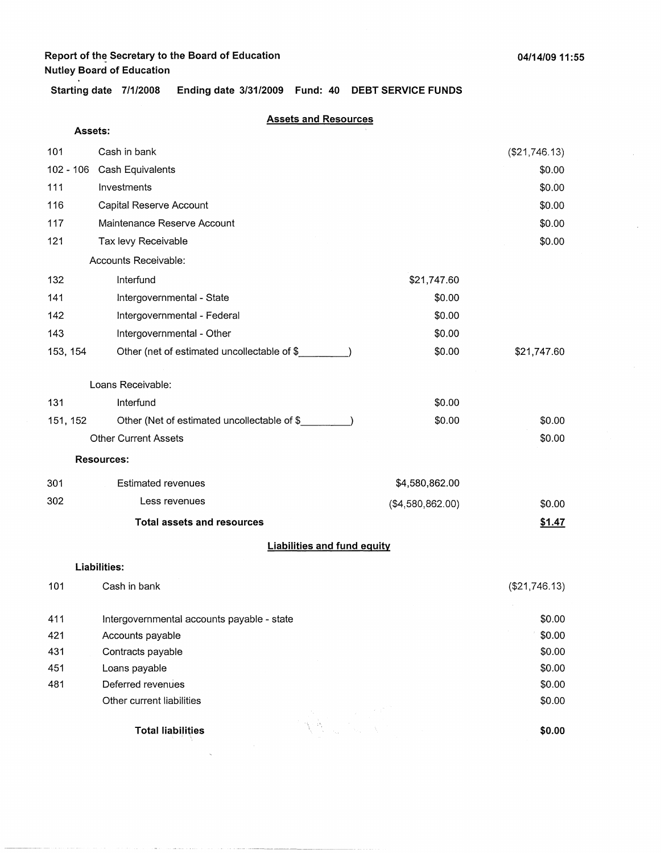والمتحدث ومصامح

**Starting date 7/1/2008 Ending date 3/31/2009 Fund: 40 DEBT SERVICE FUNDS** 

#### **Assets and Resources**

| Assets:  |                                             |                  |               |
|----------|---------------------------------------------|------------------|---------------|
| 101      | Cash in bank                                |                  | (\$21,746.13) |
|          | 102 - 106 Cash Equivalents                  |                  | \$0.00        |
| 111      | Investments                                 |                  | \$0.00        |
| 116      | Capital Reserve Account                     |                  | \$0.00        |
| 117      | Maintenance Reserve Account                 |                  | \$0.00        |
| 121      | Tax levy Receivable                         |                  | \$0.00        |
|          | Accounts Receivable:                        |                  |               |
| 132      | Interfund                                   | \$21,747.60      |               |
| 141      | Intergovernmental - State                   | \$0.00           |               |
| 142      | Intergovernmental - Federal                 | \$0.00           |               |
| 143      | Intergovernmental - Other                   | \$0.00           |               |
| 153, 154 | Other (net of estimated uncollectable of \$ | \$0.00           | \$21,747.60   |
|          | Loans Receivable:                           |                  |               |
| 131      | Interfund                                   | \$0.00           |               |
| 151, 152 | Other (Net of estimated uncollectable of \$ | \$0.00           | \$0.00        |
|          | <b>Other Current Assets</b>                 |                  | \$0.00        |
|          | <b>Resources:</b>                           |                  |               |
| 301      | <b>Estimated revenues</b>                   | \$4,580,862.00   |               |
| 302      | Less revenues                               | (\$4,580,862.00) | \$0.00        |
|          | <b>Total assets and resources</b>           |                  | \$1.47        |
|          | <b>Liabilities and fund equity</b>          |                  |               |
|          | <b>Liabilities:</b>                         |                  |               |
| 101      | Cash in bank                                |                  | (\$21,746.13) |
| 411      | Intergovernmental accounts payable - state  |                  | \$0.00        |
| 421      | Accounts payable                            |                  | \$0.00        |
| 431      | Contracts payable                           |                  | \$0.00        |
| 451      | Loans payable                               |                  | \$0.00        |
| 481      | Deferred revenues                           |                  | \$0.00        |
|          | Other current liabilities                   |                  | \$0.00        |
|          | <b>Total liabilities</b>                    |                  | \$0.00        |
|          |                                             |                  |               |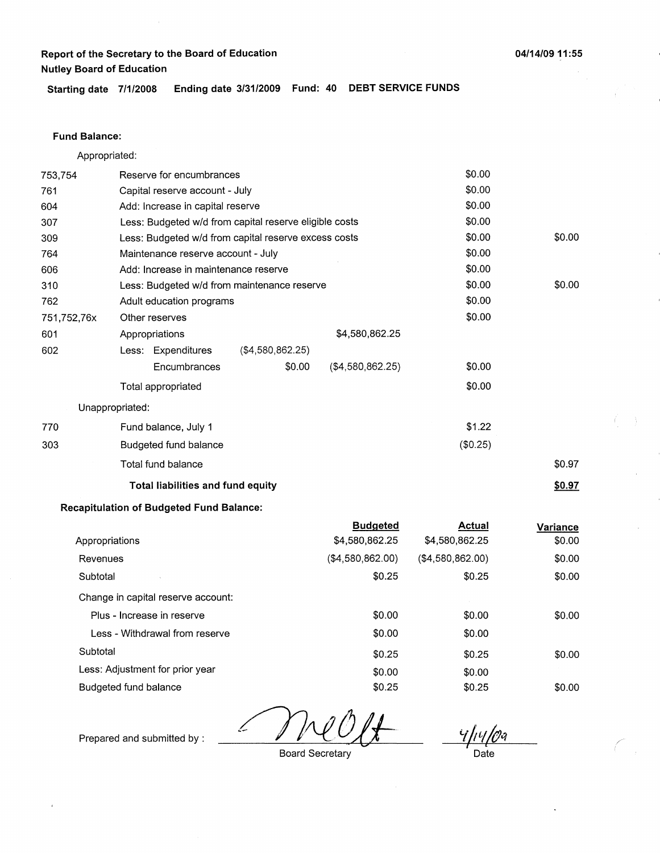**Starting date 7/1/2008 Ending date 3/31/2009 Fund: 40 DEBT SERVICE FUNDS** 

#### **Fund Balance:**

Appropriated:

| 753,754     | Reserve for encumbrances             |                                                        |                   | \$0.00   |        |
|-------------|--------------------------------------|--------------------------------------------------------|-------------------|----------|--------|
| 761         | Capital reserve account - July       |                                                        |                   | \$0.00   |        |
| 604         | Add: Increase in capital reserve     |                                                        |                   | \$0.00   |        |
| 307         |                                      | Less: Budgeted w/d from capital reserve eligible costs |                   | \$0.00   |        |
| 309         |                                      | Less: Budgeted w/d from capital reserve excess costs   |                   | \$0.00   | \$0.00 |
| 764         | Maintenance reserve account - July   |                                                        |                   | \$0.00   |        |
| 606         | Add: Increase in maintenance reserve |                                                        |                   | \$0.00   |        |
| 310         |                                      | Less: Budgeted w/d from maintenance reserve            |                   | \$0.00   | \$0.00 |
| 762         | Adult education programs             |                                                        |                   | \$0.00   |        |
| 751,752,76x | Other reserves                       |                                                        |                   | \$0.00   |        |
| 601         | Appropriations                       |                                                        | \$4,580,862.25    |          |        |
| 602         | Less: Expenditures                   | (\$4,580,862.25)                                       |                   |          |        |
|             | Encumbrances                         | \$0.00                                                 | ( \$4,580,862.25) | \$0.00   |        |
|             | Total appropriated                   |                                                        |                   | \$0.00   |        |
|             | Unappropriated:                      |                                                        |                   |          |        |
| 770         | Fund balance, July 1                 |                                                        |                   | \$1.22   |        |
| 303         | Budgeted fund balance                |                                                        |                   | (\$0.25) |        |
|             | Total fund balance                   |                                                        |                   |          | \$0.97 |
|             | Total liabilities and fund equity    |                                                        |                   |          | \$0.97 |
|             |                                      |                                                        |                   |          |        |

#### **Recapitulation of Budgeted Fund Balance:**

|                                    | <b>Budgeted</b>  | Actual            | Variance |
|------------------------------------|------------------|-------------------|----------|
| Appropriations                     | \$4,580,862.25   | \$4,580,862.25    | \$0.00   |
| Revenues                           | (\$4,580,862.00) | ( \$4,580,862.00) | \$0.00   |
| Subtotal                           | \$0.25           | \$0.25            | \$0.00   |
| Change in capital reserve account: |                  |                   |          |
| Plus - Increase in reserve         | \$0.00           | \$0.00            | \$0.00   |
| Less - Withdrawal from reserve     | \$0.00           | \$0.00            |          |
| Subtotal                           | \$0.25           | \$0.25            | \$0.00   |
| Less: Adjustment for prior year    | \$0.00           | \$0.00            |          |
| Budgeted fund balance              | \$0.25           | \$0.25            | \$0.00   |

*'ift'l/{Jq* 

 $\subset$ 

Prepared and submitted by : *0NO&* 

Board Secretary

**Date**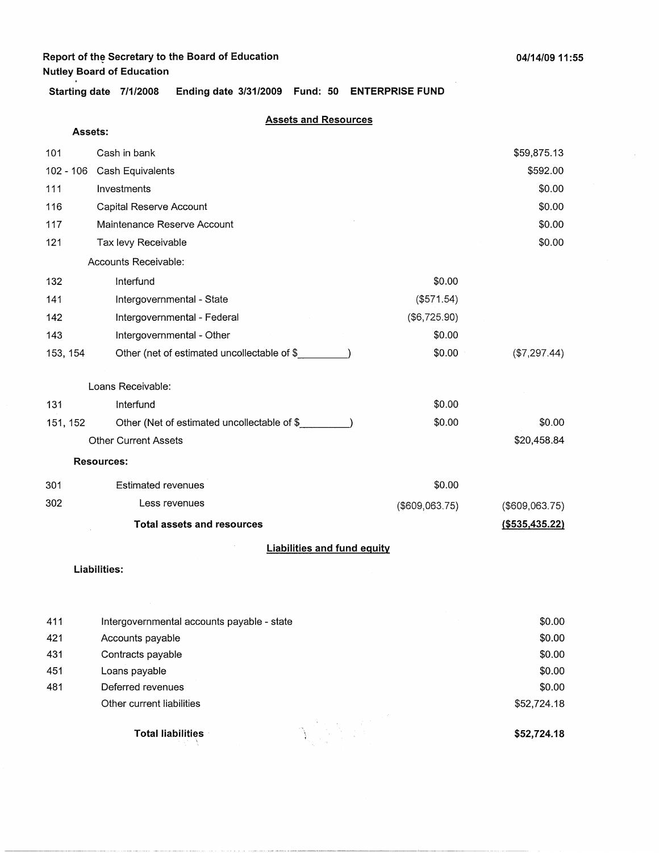**Assets:** 

**Starting date 7/1/2008 Ending date 3/31/2009 Fund: 50 ENTERPRISE FUND** 

#### **Assets and Resources**

|             | <b>Total assets and resources</b>           |                | ( \$535,435.22) |
|-------------|---------------------------------------------|----------------|-----------------|
| 302         | Less revenues                               | (\$609,063.75) | (\$609,063.75)  |
| 301         | <b>Estimated revenues</b>                   | \$0.00         |                 |
|             | <b>Resources:</b>                           |                |                 |
|             | <b>Other Current Assets</b>                 |                | \$20,458.84     |
| 151, 152    | Other (Net of estimated uncollectable of \$ | \$0.00         | \$0.00          |
| 131         | Interfund                                   | \$0.00         |                 |
|             | Loans Receivable:                           |                |                 |
| 153, 154    | Other (net of estimated uncollectable of \$ | \$0.00         | (\$7,297.44)    |
| 143         | Intergovernmental - Other                   | \$0.00         |                 |
| 142         | Intergovernmental - Federal                 | (\$6,725.90)   |                 |
| 141         | Intergovernmental - State                   | (\$571.54)     |                 |
| 132         | Interfund                                   | \$0.00         |                 |
|             | Accounts Receivable:                        |                |                 |
| 121         | Tax levy Receivable                         |                | \$0.00          |
| 117         | Maintenance Reserve Account                 |                | \$0.00          |
| 116         | Capital Reserve Account                     |                | \$0.00          |
| 111         | Investments                                 |                | \$0.00          |
| $102 - 106$ | Cash Equivalents                            |                | \$592.00        |
| 101         | Cash in bank                                |                | \$59,875.13     |
|             |                                             |                |                 |

#### **Liabilities and fund equity**

**Liabilities:** 

|                                            | \$52,724.18              |
|--------------------------------------------|--------------------------|
| Other current liabilities                  | \$52,724.18              |
| Deferred revenues                          | \$0.00                   |
| Loans payable                              | \$0.00                   |
| Contracts payable                          | \$0.00                   |
| Accounts payable                           | \$0.00                   |
| Intergovernmental accounts payable - state | \$0.00                   |
|                                            | <b>Total liabilities</b> |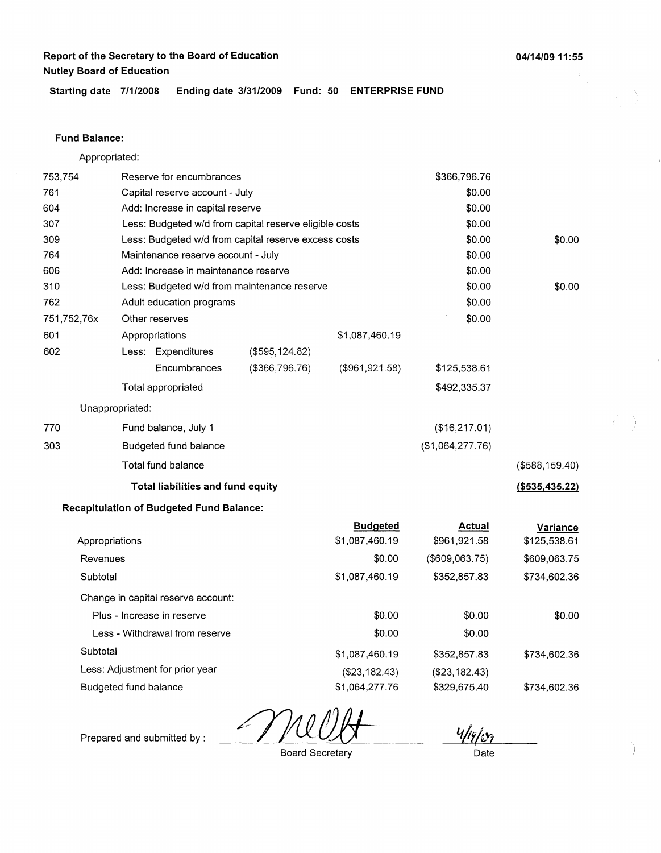**Starting date 7/1/2008 Ending date 3/31/2009 Fund: 50 ENTERPRISE FUND** 

#### **Fund Balance:**

Appropriated:

| 753,754                         | Reserve for encumbrances |                                                 |                                                        |                  | \$366,796.76   |                   |
|---------------------------------|--------------------------|-------------------------------------------------|--------------------------------------------------------|------------------|----------------|-------------------|
| 761                             |                          | Capital reserve account - July                  |                                                        |                  | \$0.00         |                   |
| 604                             |                          | Add: Increase in capital reserve                |                                                        |                  | \$0.00         |                   |
| 307                             |                          |                                                 | Less: Budgeted w/d from capital reserve eligible costs |                  | \$0.00         |                   |
| 309                             |                          |                                                 | Less: Budgeted w/d from capital reserve excess costs   |                  | \$0.00         | \$0.00            |
| 764                             |                          | Maintenance reserve account - July              |                                                        |                  | \$0.00         |                   |
| 606                             |                          | Add: Increase in maintenance reserve            |                                                        |                  | \$0.00         |                   |
| 310                             |                          |                                                 | Less: Budgeted w/d from maintenance reserve            |                  | \$0.00         | \$0.00            |
| 762                             |                          | Adult education programs                        |                                                        |                  | \$0.00         |                   |
| 751,752,76x                     |                          | Other reserves                                  | \$0.00                                                 |                  |                |                   |
| 601                             |                          | Appropriations                                  |                                                        | \$1,087,460.19   |                |                   |
| 602                             |                          | Less: Expenditures                              | (\$595, 124.82)                                        |                  |                |                   |
|                                 |                          | Encumbrances                                    | ( \$366, 796.76)                                       | (\$961,921.58)   | \$125,538.61   |                   |
|                                 |                          | Total appropriated                              |                                                        |                  | \$492,335.37   |                   |
| Unappropriated:                 |                          |                                                 |                                                        |                  |                |                   |
| 770                             |                          | Fund balance, July 1                            |                                                        |                  | (\$16,217.01)  |                   |
| 303                             | Budgeted fund balance    |                                                 |                                                        | (\$1,064,277.76) |                |                   |
|                                 |                          | Total fund balance                              |                                                        |                  |                | (\$588, 159.40)   |
|                                 |                          | Total liabilities and fund equity               |                                                        |                  |                | $($ \$535,435.22) |
|                                 |                          | <b>Recapitulation of Budgeted Fund Balance:</b> |                                                        |                  |                |                   |
|                                 |                          |                                                 |                                                        | <b>Budgeted</b>  | <b>Actual</b>  | Variance          |
| Appropriations                  |                          |                                                 |                                                        | \$1,087,460.19   | \$961,921.58   | \$125,538.61      |
| Revenues                        |                          |                                                 |                                                        | \$0.00           | (\$609,063.75) | \$609,063.75      |
| Subtotal                        |                          |                                                 |                                                        | \$1,087,460.19   | \$352,857.83   | \$734,602.36      |
|                                 |                          | Change in capital reserve account:              |                                                        |                  |                |                   |
|                                 |                          | Plus - Increase in reserve                      |                                                        | \$0.00           | \$0.00         | \$0.00            |
| Less - Withdrawal from reserve  |                          |                                                 |                                                        | \$0.00           | \$0.00         |                   |
| Subtotal                        |                          |                                                 |                                                        | \$1,087,460.19   | \$352,857.83   | \$734,602.36      |
| Less: Adjustment for prior year |                          |                                                 |                                                        | (\$23,182.43)    | (\$23,182.43)  |                   |
| Budgeted fund balance           |                          |                                                 |                                                        | \$1,064,277.76   | \$329,675.40   | \$734,602.36      |

 $4/14/109$ 

Prepared and submitted by :

Board Secretary

**Date** 

04/14/09 11:55

 $\begin{aligned} \mathcal{F}_{\text{max}}^{(1)} & = \frac{1}{2} \mathcal{F}_{\text{max}}^{(1)} \end{aligned}$ 

 $\Delta$ 

 $\mathbf{f}$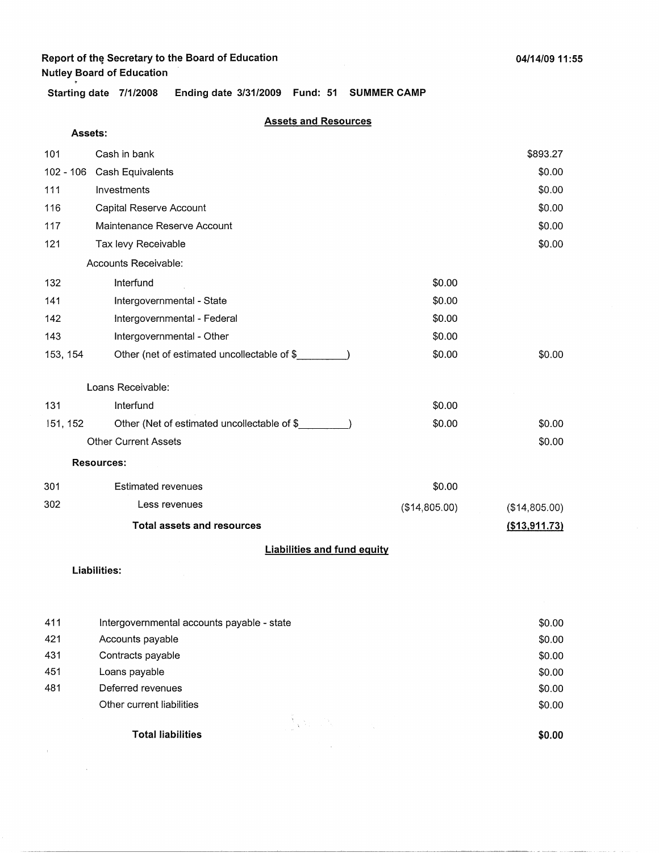# **Report of the Secretary to the Board of Education**

**Nutley Board of Education** . **Starting date 7/1/2008 Ending date 3/31/2009 Fund: 51 SUMMER CAMP** 

### **Assets and Resources**

| Assets:                            |                                             |               |                  |  |  |
|------------------------------------|---------------------------------------------|---------------|------------------|--|--|
| 101                                | Cash in bank                                |               | \$893.27         |  |  |
| $102 - 106$                        | Cash Equivalents                            |               | \$0.00           |  |  |
| 111                                | Investments                                 |               | \$0.00           |  |  |
| 116                                | Capital Reserve Account                     |               | \$0.00           |  |  |
| 117                                | Maintenance Reserve Account                 |               | \$0.00           |  |  |
| 121                                | Tax levy Receivable                         |               | \$0.00           |  |  |
|                                    | Accounts Receivable:                        |               |                  |  |  |
| 132                                | Interfund                                   | \$0.00        |                  |  |  |
| 141                                | Intergovernmental - State                   | \$0.00        |                  |  |  |
| 142                                | Intergovernmental - Federal                 | \$0.00        |                  |  |  |
| 143                                | Intergovernmental - Other                   | \$0.00        |                  |  |  |
| 153, 154                           | Other (net of estimated uncollectable of \$ | \$0.00        | \$0.00           |  |  |
|                                    | Loans Receivable:                           |               |                  |  |  |
| 131                                | Interfund                                   | \$0.00        |                  |  |  |
| 151, 152                           | Other (Net of estimated uncollectable of \$ | \$0.00        | \$0.00           |  |  |
|                                    | <b>Other Current Assets</b>                 |               | \$0.00           |  |  |
|                                    | <b>Resources:</b>                           |               |                  |  |  |
| 301                                | <b>Estimated revenues</b>                   | \$0.00        |                  |  |  |
| 302                                | Less revenues                               | (\$14,805.00) | (\$14,805.00)    |  |  |
|                                    | <b>Total assets and resources</b>           |               | $($ \$13,911.73) |  |  |
| <b>Liabilities and fund equity</b> |                                             |               |                  |  |  |

### **Liabilities:**

 $\alpha$  ,  $\beta$ 

 $\sim$   $\sim$ 

| 411 | Intergovernmental accounts payable - state | \$0.00 |
|-----|--------------------------------------------|--------|
| 421 | Accounts payable                           | \$0.00 |
| 431 | Contracts payable                          | \$0.00 |
| 451 | Loans payable                              | \$0.00 |
| 481 | Deferred revenues                          | \$0.00 |
|     | Other current liabilities                  | \$0.00 |
|     | <b>Total liabilities</b>                   | \$0.00 |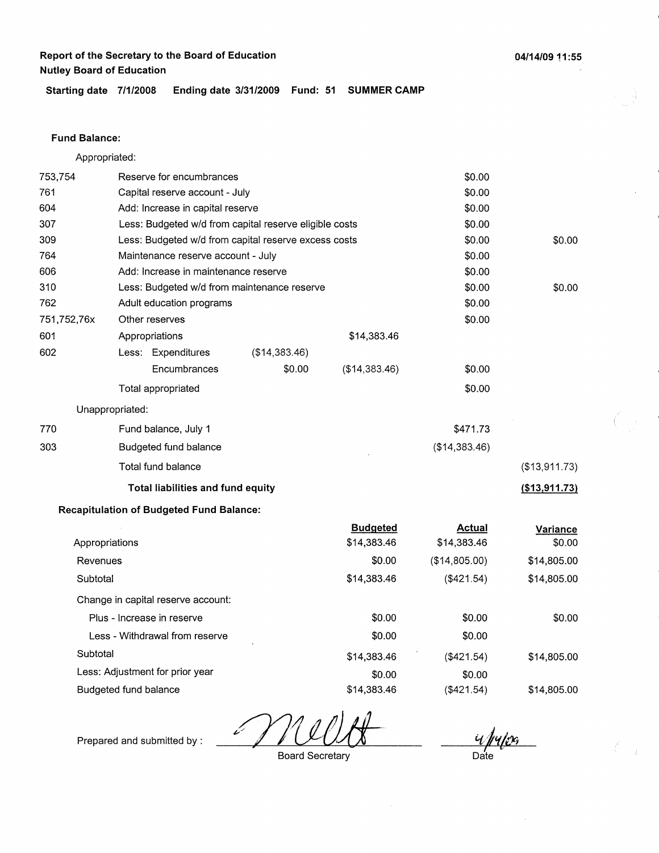**04/14/09 11** : **55** 

**Starting date 7/1/2008 Ending date 3/31/2009 Fund: 51 SUMMER CAMP** 

#### **Fund Balance:**

753,754 761 604 Appropriated: Reserve for encumbrances Capital reserve account - July Add: Increase in capital reserve 307 309 764 Less: Budgeted w/d from capital reserve eligible costs Less: Budgeted w/d from capital reserve excess costs Maintenance reserve account - July 606 Add: Increase in maintenance reserve 310 762 751,752,76x 601 Less: Budgeted w/d from maintenance reserve Adult education programs Other reserves Appropriations 602 770 303 Less: Expenditures (\$14,383.46) **Encumbrances** Total appropriated Unappropriated: Fund balance, July 1 Budgeted fund balance Total fund balance **Total liabilities and fund equity Recapitulation of Budgeted Fund Balance:**  \$0.00 \$14,383.46 (\$14,383.46) \$0.00 \$0.00 \$0.00 \$0.00 \$0.00 \$0.00 \$0.00 \$0.00 \$0.00 \$0.00 \$0.00 \$0.00 \$471.73 (\$14,383.46) \$0.00 \$0.00 (\$13,911.73) **{\$13,911.73)** 

#### Appropriations Revenues **Subtotal** Change in capital reserve account: Plus - Increase in reserve Less - Withdrawal from reserve **Subtotal** Less: Adjustment for prior year Budgeted fund balance **Budgeted**  \$14,383.46 \$0.00 \$14,383.46 \$0.00 \$0.00 \$14,383.46 \$0.00 \$14,383.46 **Actual**  \$14,383.46 (\$14,805.00) (\$421.54) \$0.00 \$0.00 (\$421.54) \$0.00 (\$421.54) **Variance**  \$0.00 \$14,805.00 \$14,805.00 \$0.00 \$14,805.00 \$14,805.00

<u>u pupa</u> Date

Prepared and submitted by :

Board Secretary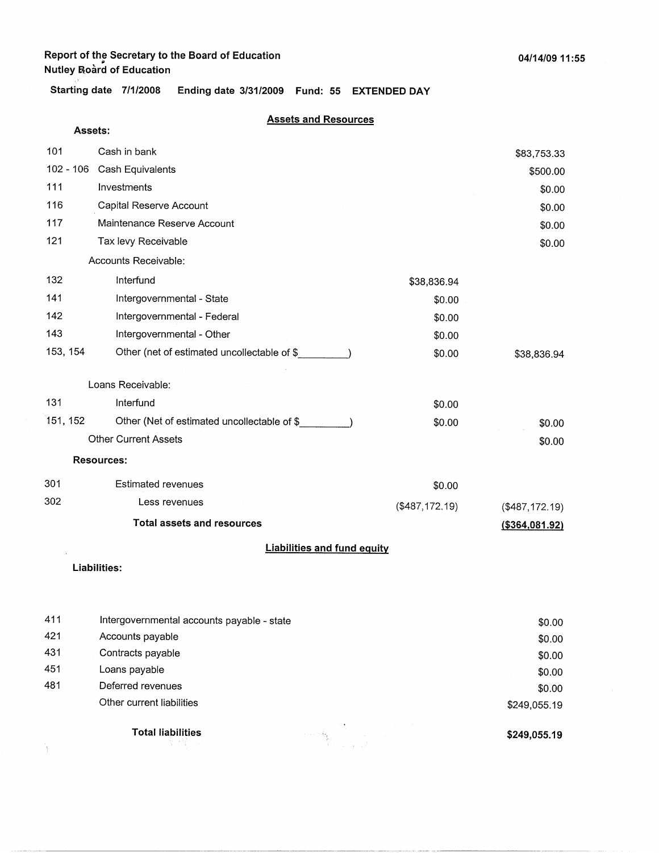**Starting date 7/1/2008 Ending date 3/31/2009 Fund: 55 EXTENDED DAY** 

#### **Assets and Resources**

|             | Assets:                                     |                |                 |
|-------------|---------------------------------------------|----------------|-----------------|
| 101         | Cash in bank                                |                | \$83,753.33     |
| $102 - 106$ | Cash Equivalents                            |                | \$500.00        |
| 111         | Investments                                 |                | \$0.00          |
| 116         | Capital Reserve Account                     |                | \$0.00          |
| 117         | Maintenance Reserve Account                 |                | \$0.00          |
| 121         | Tax levy Receivable                         |                | \$0.00          |
|             | Accounts Receivable:                        |                |                 |
| 132         | Interfund                                   | \$38,836.94    |                 |
| 141         | Intergovernmental - State                   | \$0.00         |                 |
| 142         | Intergovernmental - Federal                 | \$0.00         |                 |
| 143         | Intergovernmental - Other                   | \$0.00         |                 |
| 153, 154    | Other (net of estimated uncollectable of \$ | \$0.00         | \$38,836.94     |
|             |                                             |                |                 |
|             | Loans Receivable:                           |                |                 |
| 131         | Interfund                                   | \$0.00         |                 |
| 151, 152    | Other (Net of estimated uncollectable of \$ | \$0.00         | \$0.00          |
|             | <b>Other Current Assets</b>                 |                | \$0.00          |
|             | <b>Resources:</b>                           |                |                 |
| 301         | <b>Estimated revenues</b>                   | \$0.00         |                 |
| 302         | Less revenues                               | (\$487,172.19) | (\$487,172.19)  |
|             | <b>Total assets and resources</b>           |                | ( \$364,081.92) |
|             | <b>Liabilities and fund equity</b>          |                |                 |
|             | Liabilities:                                |                |                 |
|             |                                             |                |                 |
|             |                                             |                |                 |
| 411         | Intergovernmental accounts payable - state  |                | \$0.00          |
| 421         | Accounts payable                            |                | \$0.00          |
| 431         | Contracts payable                           |                | \$0.00          |
| 451         | Loans payable                               |                | \$0.00          |
| 481         | Deferred revenues                           |                | \$0.00          |
|             | Other current liabilities                   |                | \$249.055.19    |

**Total liabilities** 

Ì.

그리 말이

**\$249,055.19** 

\$249,055.19